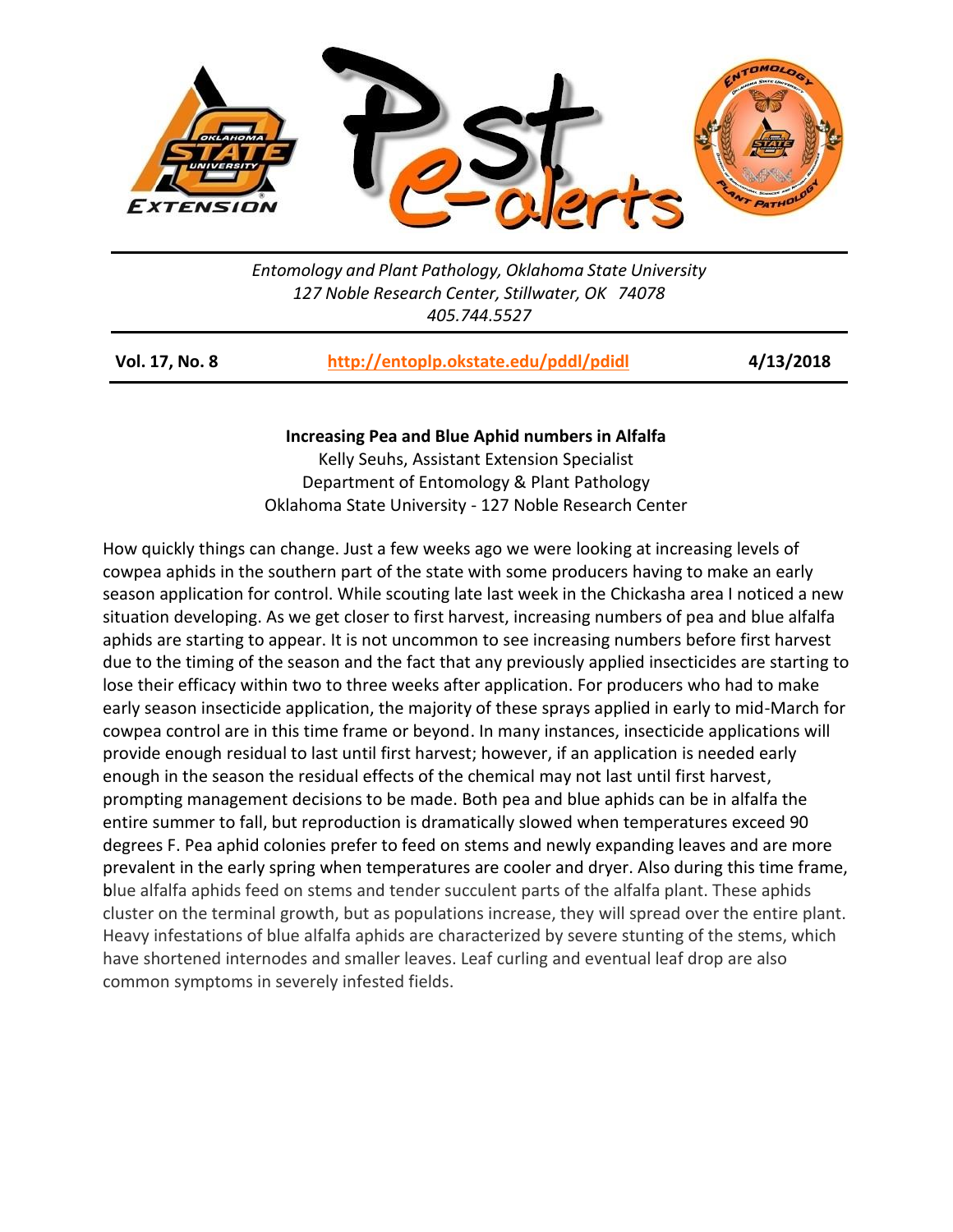

*Entomology and Plant Pathology, Oklahoma State University 127 Noble Research Center, Stillwater, OK 74078 405.744.5527*

| <b>Vol. 17, No. 8</b> | http://entoplp.okstate.edu/pddl/pdidl | 4/13/2018 |
|-----------------------|---------------------------------------|-----------|
|-----------------------|---------------------------------------|-----------|

## **Increasing Pea and Blue Aphid numbers in Alfalfa**

Kelly Seuhs, Assistant Extension Specialist Department of Entomology & Plant Pathology Oklahoma State University - 127 Noble Research Center

How quickly things can change. Just a few weeks ago we were looking at increasing levels of cowpea aphids in the southern part of the state with some producers having to make an early season application for control. While scouting late last week in the Chickasha area I noticed a new situation developing. As we get closer to first harvest, increasing numbers of pea and blue alfalfa aphids are starting to appear. It is not uncommon to see increasing numbers before first harvest due to the timing of the season and the fact that any previously applied insecticides are starting to lose their efficacy within two to three weeks after application. For producers who had to make early season insecticide application, the majority of these sprays applied in early to mid-March for cowpea control are in this time frame or beyond. In many instances, insecticide applications will provide enough residual to last until first harvest; however, if an application is needed early enough in the season the residual effects of the chemical may not last until first harvest, prompting management decisions to be made. Both pea and blue aphids can be in alfalfa the entire summer to fall, but reproduction is dramatically slowed when temperatures exceed 90 degrees F. Pea aphid colonies prefer to feed on stems and newly expanding leaves and are more prevalent in the early spring when temperatures are cooler and dryer. Also during this time frame, blue alfalfa aphids feed on stems and tender succulent parts of the alfalfa plant. These aphids cluster on the terminal growth, but as populations increase, they will spread over the entire plant. Heavy infestations of blue alfalfa aphids are characterized by severe stunting of the stems, which have shortened internodes and smaller leaves. Leaf curling and eventual leaf drop are also common symptoms in severely infested fields.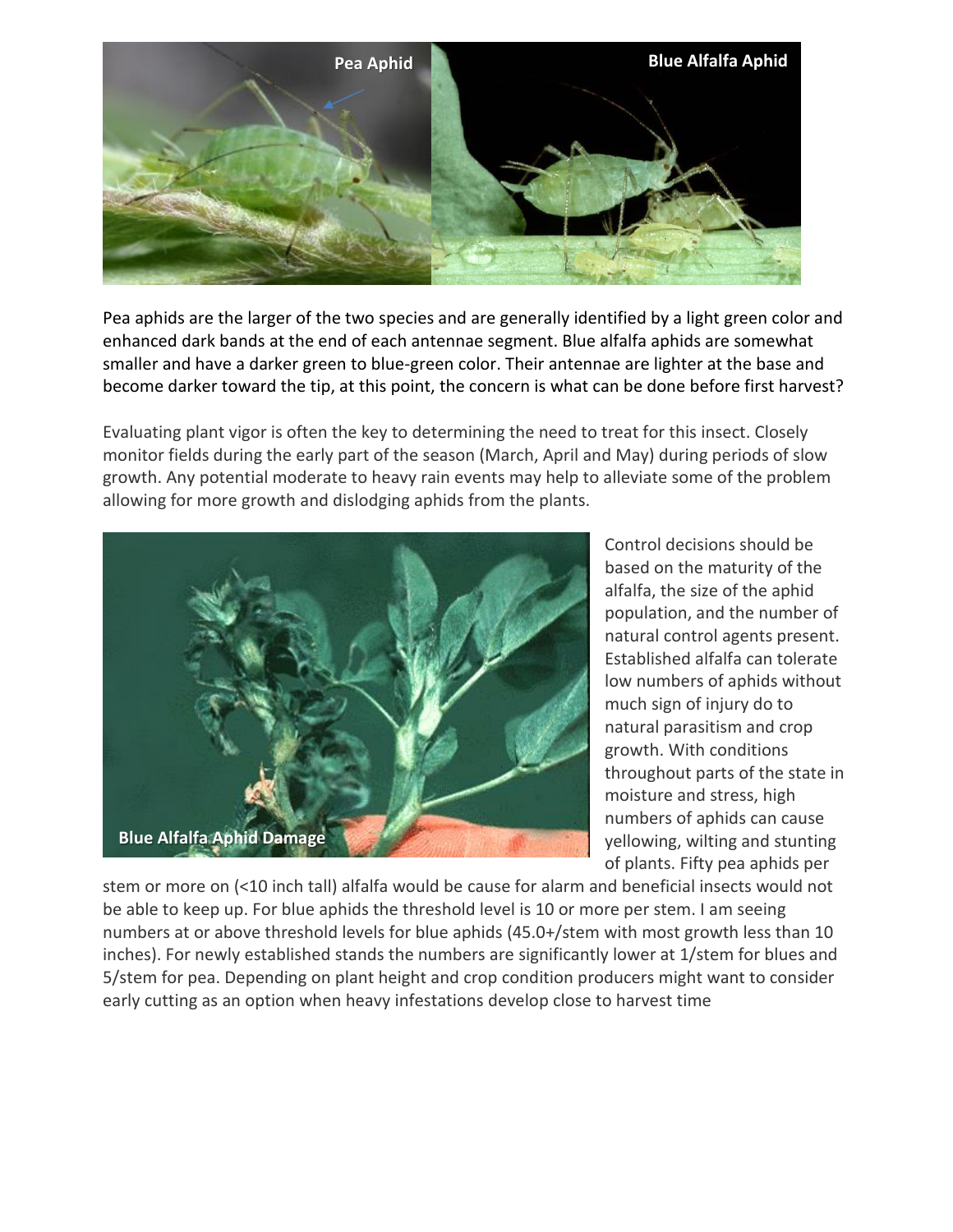

Pea aphids are the larger of the two species and are generally identified by a light green color and enhanced dark bands at the end of each antennae segment. Blue alfalfa aphids are somewhat smaller and have a darker green to blue-green color. Their antennae are lighter at the base and become darker toward the tip, at this point, the concern is what can be done before first harvest?

Evaluating plant vigor is often the key to determining the need to treat for this insect. Closely monitor fields during the early part of the season (March, April and May) during periods of slow growth. Any potential moderate to heavy rain events may help to alleviate some of the problem allowing for more growth and dislodging aphids from the plants.



Control decisions should be based on the maturity of the alfalfa, the size of the aphid population, and the number of natural control agents present. Established alfalfa can tolerate low numbers of aphids without much sign of injury do to natural parasitism and crop growth. With conditions throughout parts of the state in moisture and stress, high numbers of aphids can cause yellowing, wilting and stunting of plants. Fifty pea aphids per

stem or more on (<10 inch tall) alfalfa would be cause for alarm and beneficial insects would not be able to keep up. For blue aphids the threshold level is 10 or more per stem. I am seeing numbers at or above threshold levels for blue aphids (45.0+/stem with most growth less than 10 inches). For newly established stands the numbers are significantly lower at 1/stem for blues and 5/stem for pea. Depending on plant height and crop condition producers might want to consider early cutting as an option when heavy infestations develop close to harvest time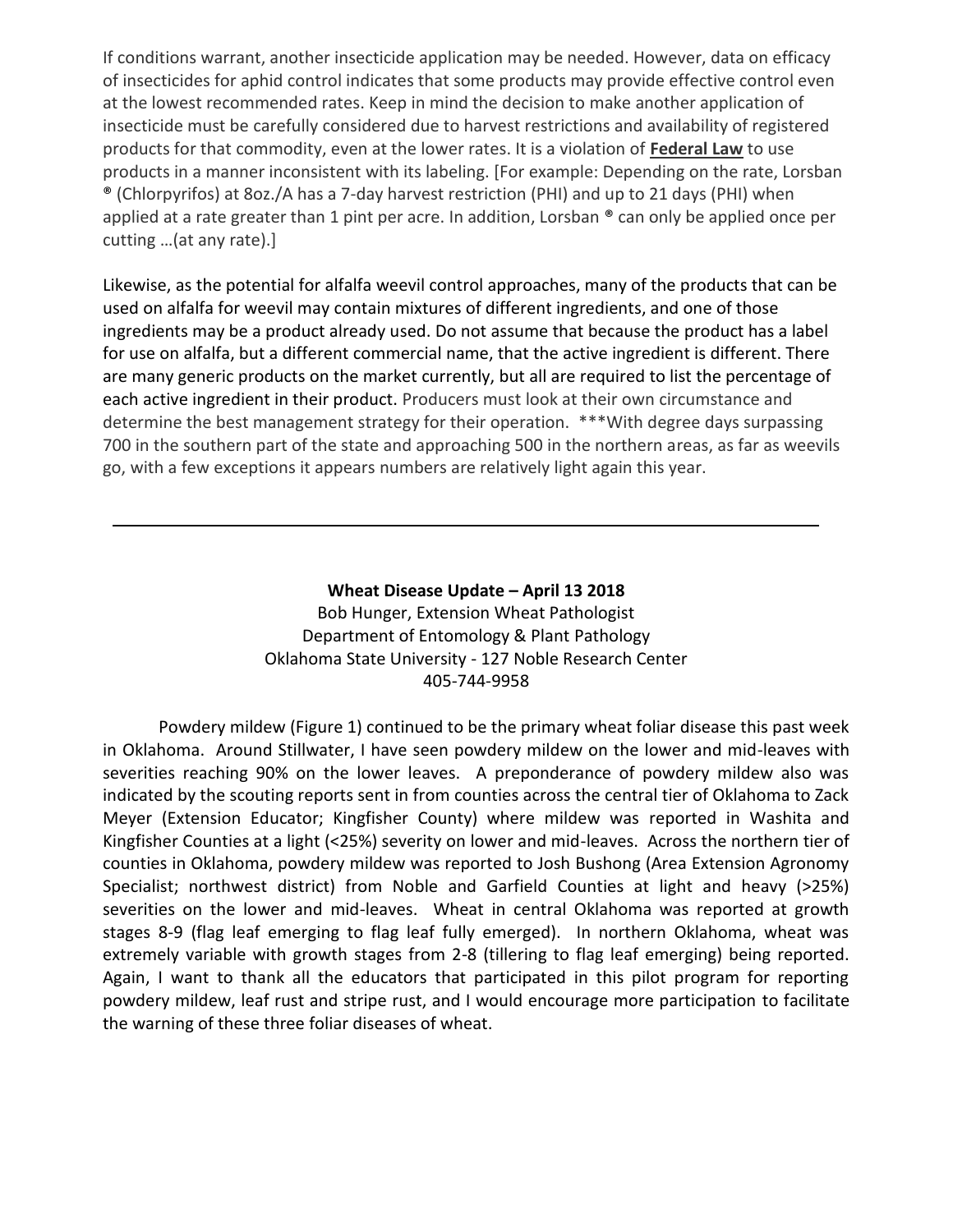If conditions warrant, another insecticide application may be needed. However, data on efficacy of insecticides for aphid control indicates that some products may provide effective control even at the lowest recommended rates. Keep in mind the decision to make another application of insecticide must be carefully considered due to harvest restrictions and availability of registered products for that commodity, even at the lower rates. It is a violation of **Federal Law** to use products in a manner inconsistent with its labeling. [For example: Depending on the rate, Lorsban ® (Chlorpyrifos) at 8oz./A has a 7-day harvest restriction (PHI) and up to 21 days (PHI) when applied at a rate greater than 1 pint per acre. In addition, Lorsban ® can only be applied once per cutting …(at any rate).]

Likewise, as the potential for alfalfa weevil control approaches, many of the products that can be used on alfalfa for weevil may contain mixtures of different ingredients, and one of those ingredients may be a product already used. Do not assume that because the product has a label for use on alfalfa, but a different commercial name, that the active ingredient is different. There are many generic products on the market currently, but all are required to list the percentage of each active ingredient in their product. Producers must look at their own circumstance and determine the best management strategy for their operation. \*\*\*With degree days surpassing 700 in the southern part of the state and approaching 500 in the northern areas, as far as weevils go, with a few exceptions it appears numbers are relatively light again this year.

> **Wheat Disease Update – April 13 2018** Bob Hunger, Extension Wheat Pathologist Department of Entomology & Plant Pathology Oklahoma State University - 127 Noble Research Center 405-744-9958

Powdery mildew (Figure 1) continued to be the primary wheat foliar disease this past week in Oklahoma. Around Stillwater, I have seen powdery mildew on the lower and mid-leaves with severities reaching 90% on the lower leaves. A preponderance of powdery mildew also was indicated by the scouting reports sent in from counties across the central tier of Oklahoma to Zack Meyer (Extension Educator; Kingfisher County) where mildew was reported in Washita and Kingfisher Counties at a light (<25%) severity on lower and mid-leaves. Across the northern tier of counties in Oklahoma, powdery mildew was reported to Josh Bushong (Area Extension Agronomy Specialist; northwest district) from Noble and Garfield Counties at light and heavy (>25%) severities on the lower and mid-leaves. Wheat in central Oklahoma was reported at growth stages 8-9 (flag leaf emerging to flag leaf fully emerged). In northern Oklahoma, wheat was extremely variable with growth stages from 2-8 (tillering to flag leaf emerging) being reported. Again, I want to thank all the educators that participated in this pilot program for reporting powdery mildew, leaf rust and stripe rust, and I would encourage more participation to facilitate the warning of these three foliar diseases of wheat.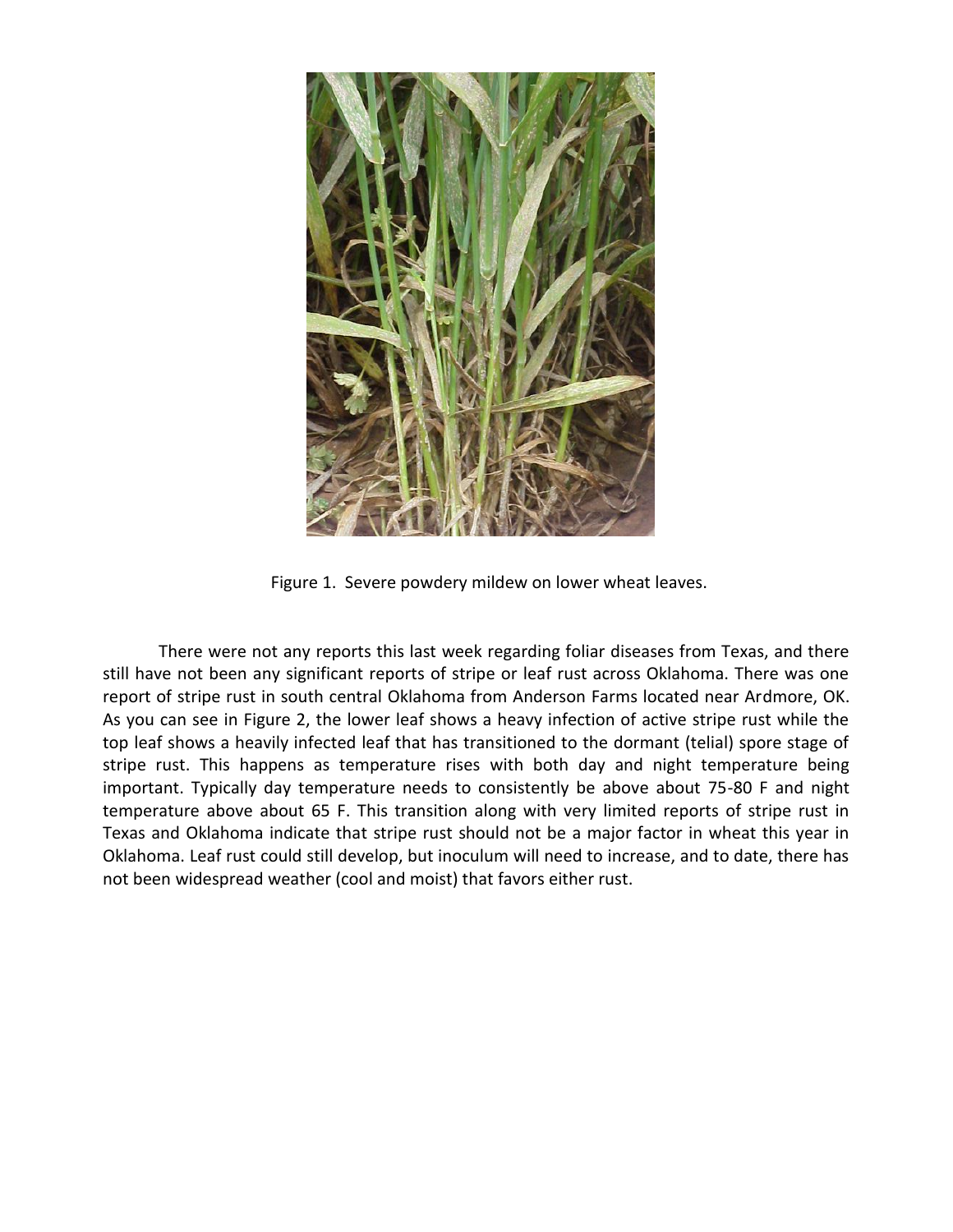

Figure 1. Severe powdery mildew on lower wheat leaves.

There were not any reports this last week regarding foliar diseases from Texas, and there still have not been any significant reports of stripe or leaf rust across Oklahoma. There was one report of stripe rust in south central Oklahoma from Anderson Farms located near Ardmore, OK. As you can see in Figure 2, the lower leaf shows a heavy infection of active stripe rust while the top leaf shows a heavily infected leaf that has transitioned to the dormant (telial) spore stage of stripe rust. This happens as temperature rises with both day and night temperature being important. Typically day temperature needs to consistently be above about 75-80 F and night temperature above about 65 F. This transition along with very limited reports of stripe rust in Texas and Oklahoma indicate that stripe rust should not be a major factor in wheat this year in Oklahoma. Leaf rust could still develop, but inoculum will need to increase, and to date, there has not been widespread weather (cool and moist) that favors either rust.